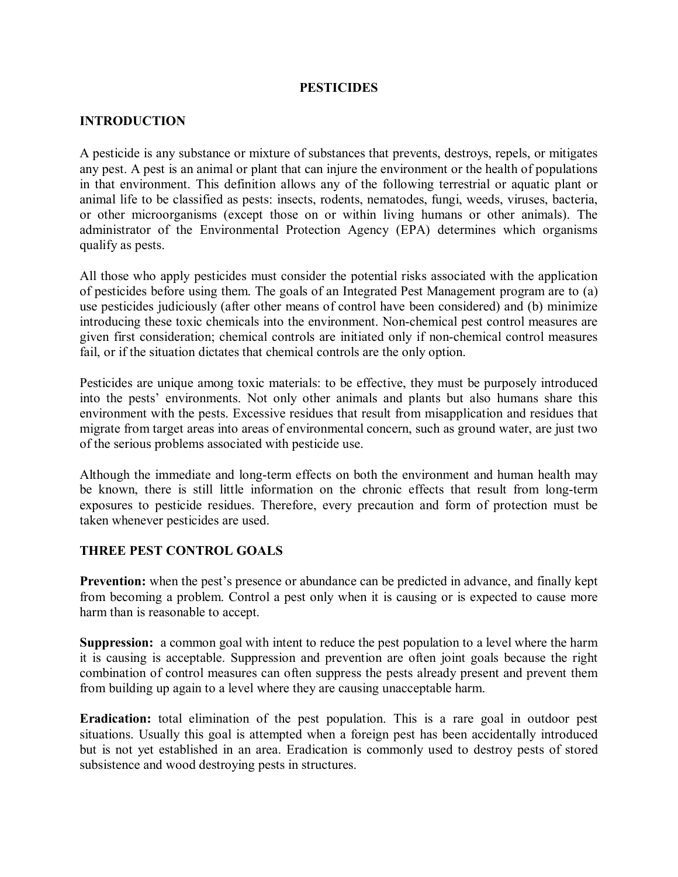### **PESTICIDES**

### **INTRODUCTION**

A pesticide is any substance or mixture of substances that prevents, destroys, repels, or mitigates any pest. A pest is an animal or plant that can injure the environment or the health of populations in that environment. This definition allows any of the following terrestrial or aquatic plant or animal life to be classified as pests: insects, rodents, nematodes, fungi, weeds, viruses, bacteria, or other microorganisms (except those on or within living humans or other animals). The administrator of the Environmental Protection Agency (EPA) determines which organisms qualify as pests.

All those who apply pesticides must consider the potential risks associated with the application of pesticides before using them. The goals of an Integrated Pest Management program are to (a) use pesticides judiciously (after other means of control have been considered) and (b) minimize introducing these toxic chemicals into the environment. Non-chemical pest control measures are given first consideration; chemical controls are initiated only if nonchemical control measures fail, or if the situation dictates that chemical controls are the only option.

Pesticides are unique among toxic materials: to be effective, they must be purposely introduced into the pests' environments. Not only other animals and plants but also humans share this environment with the pests. Excessive residues that result from misapplication and residues that migrate from target areas into areas of environmental concern, such as ground water, are just two of the serious problems associated with pesticide use.

Although the immediate and long-term effects on both the environment and human health may be known, there is still little information on the chronic effects that result from long-term exposures to pesticide residues. Therefore, every precaution and form of protection must be taken whenever pesticides are used.

### **THREE PEST CONTROL GOALS**

**Prevention:** when the pest's presence or abundance can be predicted in advance, and finally kept from becoming a problem. Control a pest only when it is causing or is expected to cause more harm than is reasonable to accept.

**Suppression:** a common goal with intent to reduce the pest population to a level where the harm it is causing is acceptable. Suppression and prevention are often joint goals because the right combination of control measures can often suppress the pests already present and prevent them from building up again to a level where they are causing unacceptable harm.

**Eradication:** total elimination of the pest population. This is a rare goal in outdoor pest situations. Usually this goal is attempted when a foreign pest has been accidentally introduced but is not yet established in an area. Eradication is commonly used to destroy pests of stored subsistence and wood destroying pests in structures.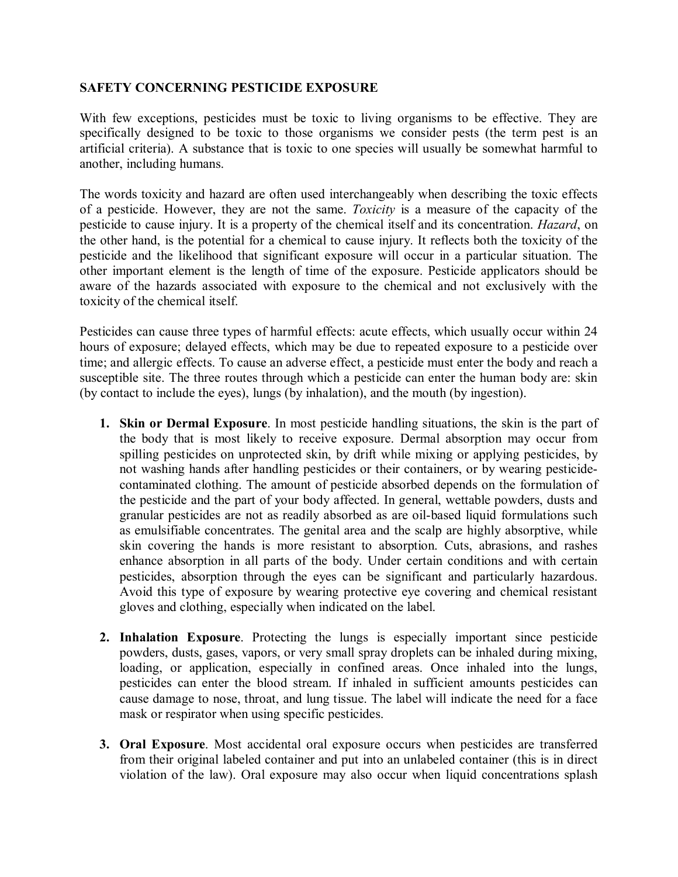### **SAFETY CONCERNING PESTICIDE EXPOSURE**

With few exceptions, pesticides must be toxic to living organisms to be effective. They are specifically designed to be toxic to those organisms we consider pests (the term pest is an artificial criteria). A substance that is toxic to one species will usually be somewhat harmful to another, including humans.

The words toxicity and hazard are often used interchangeably when describing the toxic effects of a pesticide. However, they are not the same. *Toxicity* is a measure of the capacity of the pesticide to cause injury. It is a property of the chemical itself and its concentration. *Hazard*, on the other hand, is the potential for a chemical to cause injury. It reflects both the toxicity of the pesticide and the likelihood that significant exposure will occur in a particular situation. The other important element is the length of time of the exposure. Pesticide applicators should be aware of the hazards associated with exposure to the chemical and not exclusively with the toxicity of the chemical itself.

Pesticides can cause three types of harmful effects: acute effects, which usually occur within 24 hours of exposure; delayed effects, which may be due to repeated exposure to a pesticide over time; and allergic effects. To cause an adverse effect, a pesticide must enter the body and reach a susceptible site. The three routes through which a pesticide can enter the human body are: skin (by contact to include the eyes), lungs (by inhalation), and the mouth (by ingestion).

- **1. Skin or Dermal Exposure**. In most pesticide handling situations, the skin is the part of the body that is most likely to receive exposure. Dermal absorption may occur from spilling pesticides on unprotected skin, by drift while mixing or applying pesticides, by not washing hands after handling pesticides or their containers, or by wearing pesticide contaminated clothing. The amount of pesticide absorbed depends on the formulation of the pesticide and the part of your body affected. In general, wettable powders, dusts and granular pesticides are not as readily absorbed as are oil-based liquid formulations such as emulsifiable concentrates. The genital area and the scalp are highly absorptive, while skin covering the hands is more resistant to absorption. Cuts, abrasions, and rashes enhance absorption in all parts of the body. Under certain conditions and with certain pesticides, absorption through the eyes can be significant and particularly hazardous. Avoid this type of exposure by wearing protective eye covering and chemical resistant gloves and clothing, especially when indicated on the label.
- **2. Inhalation Exposure**. Protecting the lungs is especially important since pesticide powders, dusts, gases, vapors, or very small spray droplets can be inhaled during mixing, loading, or application, especially in confined areas. Once inhaled into the lungs, pesticides can enter the blood stream. If inhaled in sufficient amounts pesticides can cause damage to nose, throat, and lung tissue. The label will indicate the need for a face mask or respirator when using specific pesticides.
- **3. Oral Exposure**. Most accidental oral exposure occurs when pesticides are transferred from their original labeled container and put into an unlabeled container (this is in direct violation of the law). Oral exposure may also occur when liquid concentrations splash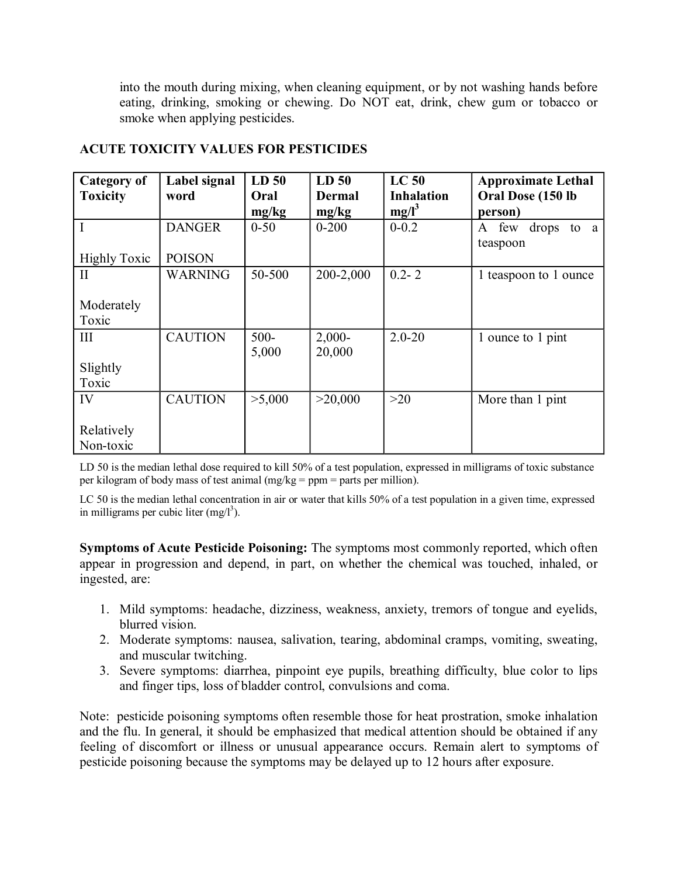into the mouth during mixing, when cleaning equipment, or by not washing hands before eating, drinking, smoking or chewing. Do NOT eat, drink, chew gum or tobacco or smoke when applying pesticides.

| Category of<br><b>Toxicity</b> | Label signal<br>word | LD <sub>50</sub><br>Oral | LD <sub>50</sub><br><b>Dermal</b> | LC <sub>50</sub><br><b>Inhalation</b> | <b>Approximate Lethal</b><br>Oral Dose (150 lb |
|--------------------------------|----------------------|--------------------------|-----------------------------------|---------------------------------------|------------------------------------------------|
|                                |                      | mg/kg                    | mg/kg                             | $mg/l^3$                              | person)                                        |
| $\mathbf{I}$                   | <b>DANGER</b>        | $0 - 50$                 | $0 - 200$                         | $0 - 0.2$                             | drops<br>few<br>A<br>to a                      |
|                                |                      |                          |                                   |                                       | teaspoon                                       |
| <b>Highly Toxic</b>            | <b>POISON</b>        |                          |                                   |                                       |                                                |
| $\mathbf{H}$                   | <b>WARNING</b>       | 50-500                   | 200-2,000                         | $0.2 - 2$                             | 1 teaspoon to 1 ounce                          |
|                                |                      |                          |                                   |                                       |                                                |
| Moderately                     |                      |                          |                                   |                                       |                                                |
| Toxic                          |                      |                          |                                   |                                       |                                                |
| III                            | <b>CAUTION</b>       | $500 -$                  | $2,000-$                          | $2.0 - 20$                            | 1 ounce to 1 pint                              |
|                                |                      | 5,000                    | 20,000                            |                                       |                                                |
| Slightly                       |                      |                          |                                   |                                       |                                                |
| Toxic                          |                      |                          |                                   |                                       |                                                |
| IV                             | <b>CAUTION</b>       | >5,000                   | >20,000                           | >20                                   | More than 1 pint                               |
|                                |                      |                          |                                   |                                       |                                                |
| Relatively                     |                      |                          |                                   |                                       |                                                |
| Non-toxic                      |                      |                          |                                   |                                       |                                                |

# **ACUTE TOXICITY VALUES FOR PESTICIDES**

LD 50 is the median lethal dose required to kill 50% of a test population, expressed in milligrams of toxic substance per kilogram of body mass of test animal (mg/kg = ppm = parts per million).

LC 50 is the median lethal concentration in air or water that kills 50% of a test population in a given time, expressed in milligrams per cubic liter  $(mg/l<sup>3</sup>)$ .

**Symptoms of Acute Pesticide Poisoning:** The symptoms most commonly reported, which often appear in progression and depend, in part, on whether the chemical was touched, inhaled, or ingested, are:

- 1. Mild symptoms: headache, dizziness, weakness, anxiety, tremors of tongue and eyelids, blurred vision.
- 2. Moderate symptoms: nausea, salivation, tearing, abdominal cramps, vomiting, sweating, and muscular twitching.
- 3. Severe symptoms: diarrhea, pinpoint eye pupils, breathing difficulty, blue color to lips and finger tips, loss of bladder control, convulsions and coma.

Note: pesticide poisoning symptoms often resemble those for heat prostration, smoke inhalation and the flu. In general, it should be emphasized that medical attention should be obtained if any feeling of discomfort or illness or unusual appearance occurs. Remain alert to symptoms of pesticide poisoning because the symptoms may be delayed up to 12 hours after exposure.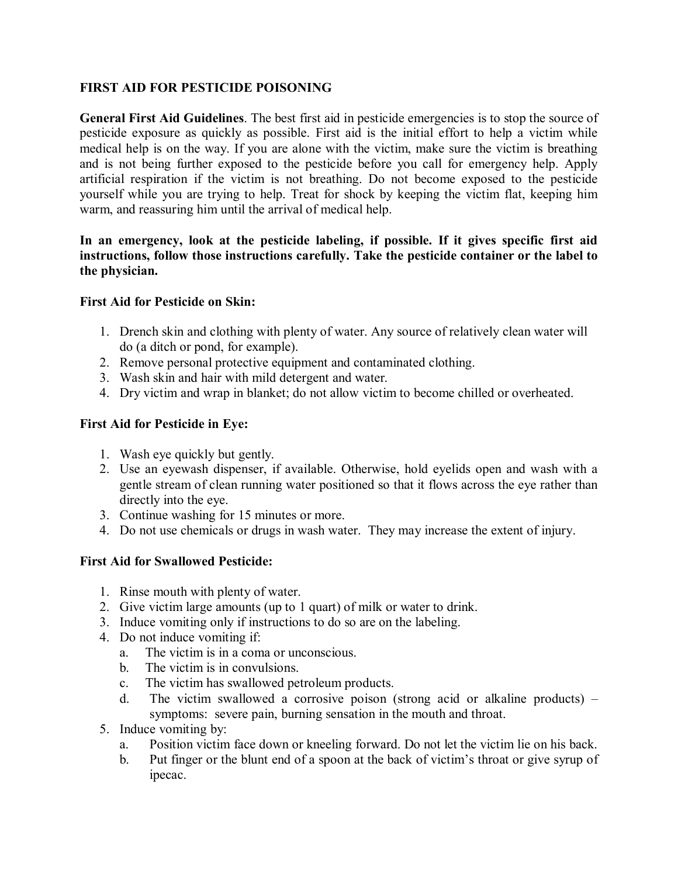### **FIRST AID FOR PESTICIDE POISONING**

**General First Aid Guidelines**. The best first aid in pesticide emergencies is to stop the source of pesticide exposure as quickly as possible. First aid is the initial effort to help a victim while medical help is on the way. If you are alone with the victim, make sure the victim is breathing and is not being further exposed to the pesticide before you call for emergency help. Apply artificial respiration if the victim is not breathing. Do not become exposed to the pesticide yourself while you are trying to help. Treat for shock by keeping the victim flat, keeping him warm, and reassuring him until the arrival of medical help.

### **In an emergency, look at the pesticide labeling, if possible. If it gives specific first aid instructions, follow those instructions carefully. Take the pesticide container or the label to the physician.**

### **First Aid for Pesticide on Skin:**

- 1. Drench skin and clothing with plenty of water. Any source of relatively clean water will do (a ditch or pond, for example).
- 2. Remove personal protective equipment and contaminated clothing.
- 3. Wash skin and hair with mild detergent and water.
- 4. Dry victim and wrap in blanket; do not allow victim to become chilled or overheated.

### **First Aid for Pesticide in Eye:**

- 1. Wash eye quickly but gently.
- 2. Use an eyewash dispenser, if available. Otherwise, hold eyelids open and wash with a gentle stream of clean running water positioned so that it flows across the eye rather than directly into the eye.
- 3. Continue washing for 15 minutes or more.
- 4. Do not use chemicals or drugs in wash water. They may increase the extent of injury.

## **First Aid for Swallowed Pesticide:**

- 1. Rinse mouth with plenty of water.
- 2. Give victim large amounts (up to 1 quart) of milk or water to drink.
- 3. Induce vomiting only if instructions to do so are on the labeling.
- 4. Do not induce vomiting if:
	- a. The victim is in a coma or unconscious.
	- b. The victim is in convulsions.
	- c. The victim has swallowed petroleum products.
	- d. The victim swallowed a corrosive poison (strong acid or alkaline products) symptoms: severe pain, burning sensation in the mouth and throat.
- 5. Induce vomiting by:
	- a. Position victim face down or kneeling forward. Do not let the victim lie on his back.
	- b. Put finger or the blunt end of a spoon at the back of victim's throat or give syrup of ipecac.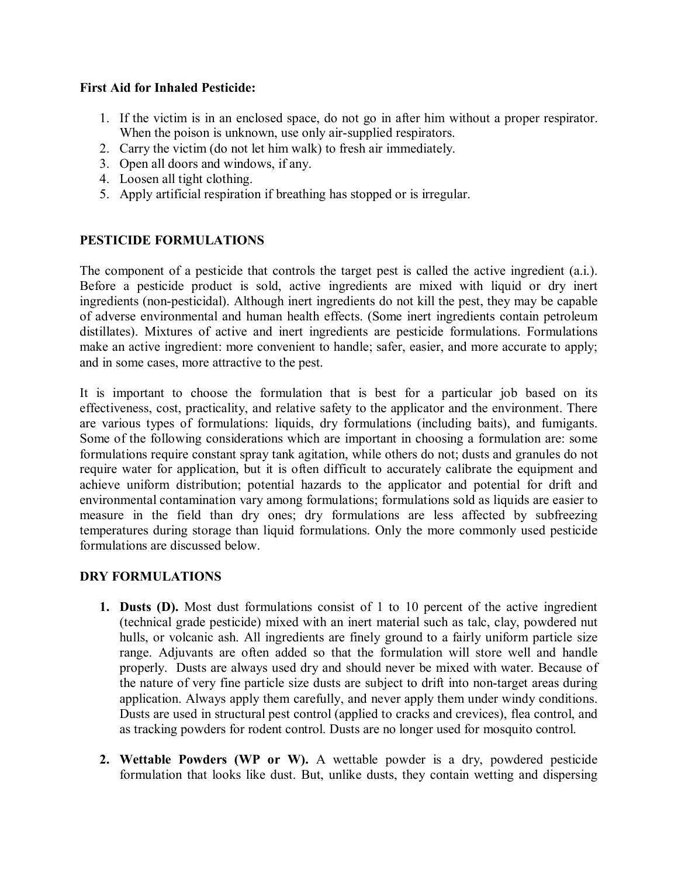### **First Aid for Inhaled Pesticide:**

- 1. If the victim is in an enclosed space, do not go in after him without a proper respirator. When the poison is unknown, use only air-supplied respirators.
- 2. Carry the victim (do not let him walk) to fresh air immediately.
- 3. Open all doors and windows, if any.
- 4. Loosen all tight clothing.
- 5. Apply artificial respiration if breathing has stopped or is irregular.

### **PESTICIDE FORMULATIONS**

The component of a pesticide that controls the target pest is called the active ingredient (a.i.). Before a pesticide product is sold, active ingredients are mixed with liquid or dry inert ingredients (non-pesticidal). Although inert ingredients do not kill the pest, they may be capable of adverse environmental and human health effects. (Some inert ingredients contain petroleum distillates). Mixtures of active and inert ingredients are pesticide formulations. Formulations make an active ingredient: more convenient to handle; safer, easier, and more accurate to apply; and in some cases, more attractive to the pest.

It is important to choose the formulation that is best for a particular job based on its effectiveness, cost, practicality, and relative safety to the applicator and the environment. There are various types of formulations: liquids, dry formulations (including baits), and fumigants. Some of the following considerations which are important in choosing a formulation are: some formulations require constant spray tank agitation, while others do not; dusts and granules do not require water for application, but it is often difficult to accurately calibrate the equipment and achieve uniform distribution; potential hazards to the applicator and potential for drift and environmental contamination vary among formulations; formulations sold as liquids are easier to measure in the field than dry ones; dry formulations are less affected by subfreezing temperatures during storage than liquid formulations. Only the more commonly used pesticide formulations are discussed below.

### **DRY FORMULATIONS**

- **1. Dusts (D).** Most dust formulations consist of 1 to 10 percent of the active ingredient (technical grade pesticide) mixed with an inert material such as talc, clay, powdered nut hulls, or volcanic ash. All ingredients are finely ground to a fairly uniform particle size range. Adjuvants are often added so that the formulation will store well and handle properly. Dusts are always used dry and should never be mixed with water. Because of the nature of very fine particle size dusts are subject to drift into non-target areas during application. Always apply them carefully, and never apply them under windy conditions. Dusts are used in structural pest control (applied to cracks and crevices), flea control, and as tracking powders for rodent control. Dusts are no longer used for mosquito control.
- **2. Wettable Powders (WP or W).** A wettable powder is a dry, powdered pesticide formulation that looks like dust. But, unlike dusts, they contain wetting and dispersing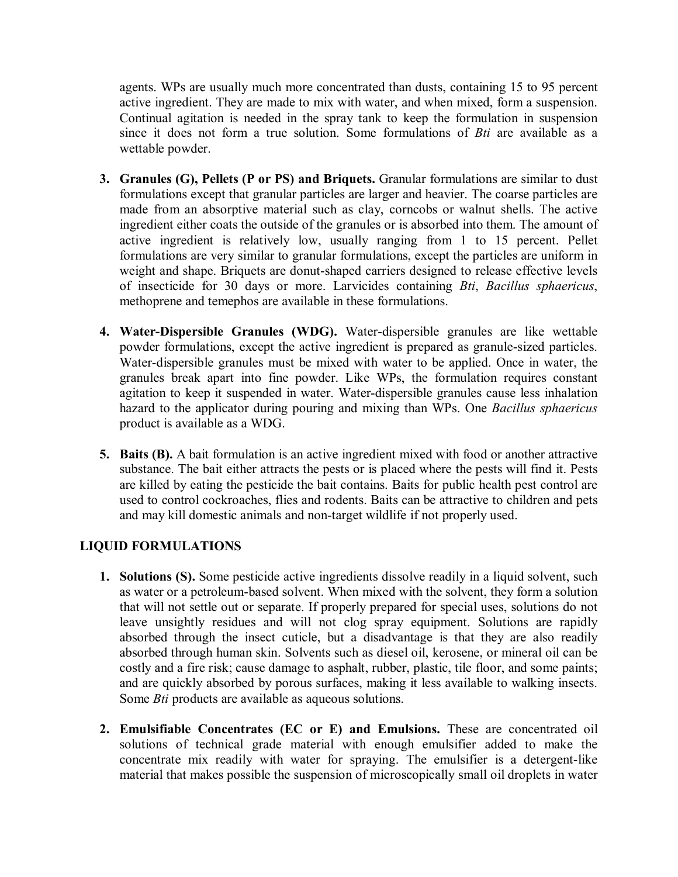agents. WPs are usually much more concentrated than dusts, containing 15 to 95 percent active ingredient. They are made to mix with water, and when mixed, form a suspension. Continual agitation is needed in the spray tank to keep the formulation in suspension since it does not form a true solution. Some formulations of *Bti* are available as a wettable powder.

- **3. Granules (G), Pellets (P or PS) and Briquets.** Granular formulations are similar to dust formulations except that granular particles are larger and heavier. The coarse particles are made from an absorptive material such as clay, corncobs or walnut shells. The active ingredient either coats the outside of the granules or is absorbed into them. The amount of active ingredient is relatively low, usually ranging from 1 to 15 percent. Pellet formulations are very similar to granular formulations, except the particles are uniform in weight and shape. Briquets are donut-shaped carriers designed to release effective levels of insecticide for 30 days or more. Larvicides containing *Bti*, *Bacillus sphaericus*, methoprene and temephos are available in these formulations.
- **4. Water-Dispersible Granules (WDG).** Water-dispersible granules are like wettable powder formulations, except the active ingredient is prepared as granule-sized particles. Water-dispersible granules must be mixed with water to be applied. Once in water, the granules break apart into fine powder. Like WPs, the formulation requires constant agitation to keep it suspended in water. Waterdispersible granules cause less inhalation hazard to the applicator during pouring and mixing than WPs. One *Bacillus sphaericus* product is available as a WDG.
- **5. Baits (B).** A bait formulation is an active ingredient mixed with food or another attractive substance. The bait either attracts the pests or is placed where the pests will find it. Pests are killed by eating the pesticide the bait contains. Baits for public health pest control are used to control cockroaches, flies and rodents. Baits can be attractive to children and pets and may kill domestic animals and non-target wildlife if not properly used.

## **LIQUID FORMULATIONS**

- **1. Solutions (S).** Some pesticide active ingredients dissolve readily in a liquid solvent, such as water or a petroleum-based solvent. When mixed with the solvent, they form a solution that will not settle out or separate. If properly prepared for special uses, solutions do not leave unsightly residues and will not clog spray equipment. Solutions are rapidly absorbed through the insect cuticle, but a disadvantage is that they are also readily absorbed through human skin. Solvents such as diesel oil, kerosene, or mineral oil can be costly and a fire risk; cause damage to asphalt, rubber, plastic, tile floor, and some paints; and are quickly absorbed by porous surfaces, making it less available to walking insects. Some *Bti* products are available as aqueous solutions.
- **2. Emulsifiable Concentrates (EC or E) and Emulsions.** These are concentrated oil solutions of technical grade material with enough emulsifier added to make the concentrate  $mix$  readily with water for spraying. The emulsifier is a detergent-like material that makes possible the suspension of microscopically small oil droplets in water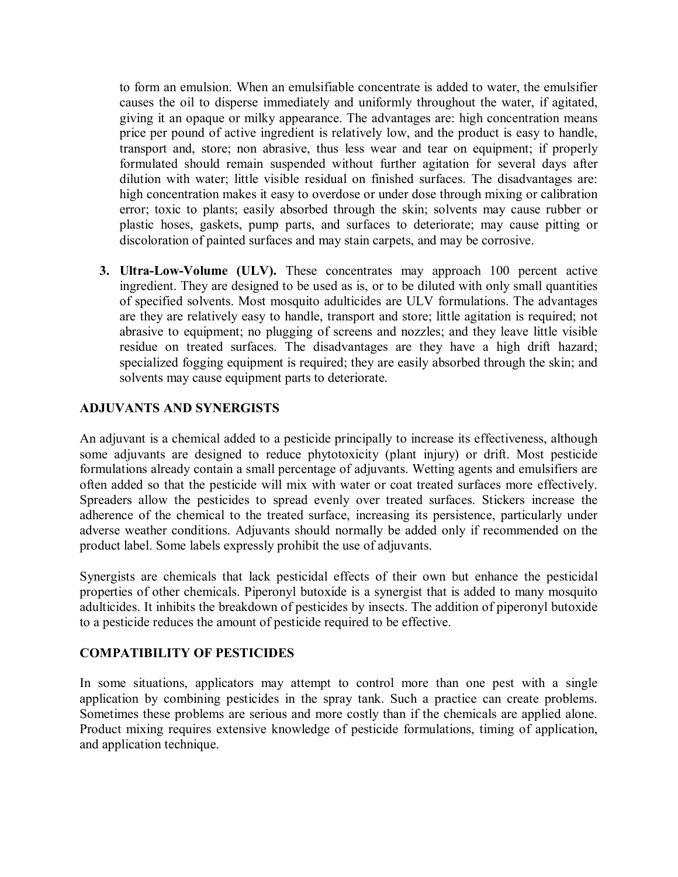to form an emulsion. When an emulsifiable concentrate is added to water, the emulsifier causes the oil to disperse immediately and uniformly throughout the water, if agitated, giving it an opaque or milky appearance. The advantages are: high concentration means price per pound of active ingredient is relatively low, and the product is easy to handle, transport and, store; non abrasive, thus less wear and tear on equipment; if properly formulated should remain suspended without further agitation for several days after dilution with water; little visible residual on finished surfaces. The disadvantages are: high concentration makes it easy to overdose or under dose through mixing or calibration error; toxic to plants; easily absorbed through the skin; solvents may cause rubber or plastic hoses, gaskets, pump parts, and surfaces to deteriorate; may cause pitting or discoloration of painted surfaces and may stain carpets, and may be corrosive.

**3. Ultra-Low-Volume (ULV).** These concentrates may approach 100 percent active ingredient. They are designed to be used as is, or to be diluted with only small quantities of specified solvents. Most mosquito adulticides are ULV formulations. The advantages are they are relatively easy to handle, transport and store; little agitation is required; not abrasive to equipment; no plugging of screens and nozzles; and they leave little visible residue on treated surfaces. The disadvantages are they have a high drift hazard; specialized fogging equipment is required; they are easily absorbed through the skin; and solvents may cause equipment parts to deteriorate.

### **ADJUVANTS AND SYNERGISTS**

An adjuvant is a chemical added to a pesticide principally to increase its effectiveness, although some adjuvants are designed to reduce phytotoxicity (plant injury) or drift. Most pesticide formulations already contain a small percentage of adjuvants. Wetting agents and emulsifiers are often added so that the pesticide will mix with water or coat treated surfaces more effectively. Spreaders allow the pesticides to spread evenly over treated surfaces. Stickers increase the adherence of the chemical to the treated surface, increasing its persistence, particularly under adverse weather conditions. Adjuvants should normally be added only if recommended on the product label. Some labels expressly prohibit the use of adjuvants.

Synergists are chemicals that lack pesticidal effects of their own but enhance the pesticidal properties of other chemicals. Piperonyl butoxide is a synergist that is added to many mosquito adulticides. It inhibits the breakdown of pesticides by insects. The addition of piperonyl butoxide to a pesticide reduces the amount of pesticide required to be effective.

### **COMPATIBILITY OF PESTICIDES**

In some situations, applicators may attempt to control more than one pest with a single application by combining pesticides in the spray tank. Such a practice can create problems. Sometimes these problems are serious and more costly than if the chemicals are applied alone. Product mixing requires extensive knowledge of pesticide formulations, timing of application, and application technique.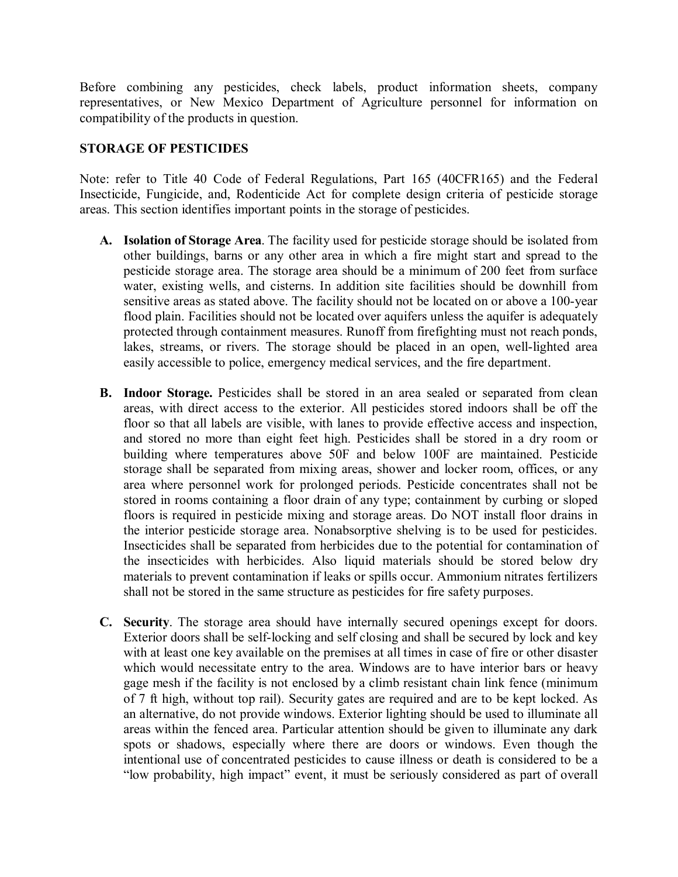Before combining any pesticides, check labels, product information sheets, company representatives, or New Mexico Department of Agriculture personnel for information on compatibility of the products in question.

### **STORAGE OF PESTICIDES**

Note: refer to Title 40 Code of Federal Regulations, Part 165 (40CFR165) and the Federal Insecticide, Fungicide, and, Rodenticide Act for complete design criteria of pesticide storage areas. This section identifies important points in the storage of pesticides.

- **A. Isolation of Storage Area**. The facility used for pesticide storage should be isolated from other buildings, barns or any other area in which a fire might start and spread to the pesticide storage area. The storage area should be a minimum of 200 feet from surface water, existing wells, and cisterns. In addition site facilities should be downhill from sensitive areas as stated above. The facility should not be located on or above a 100-year flood plain. Facilities should not be located over aquifers unless the aquifer is adequately protected through containment measures. Runoff from firefighting must not reach ponds, lakes, streams, or rivers. The storage should be placed in an open, well-lighted area easily accessible to police, emergency medical services, and the fire department.
- **B. Indoor Storage.** Pesticides shall be stored in an area sealed or separated from clean areas, with direct access to the exterior. All pesticides stored indoors shall be off the floor so that all labels are visible, with lanes to provide effective access and inspection, and stored no more than eight feet high. Pesticides shall be stored in a dry room or building where temperatures above 50F and below 100F are maintained. Pesticide storage shall be separated from mixing areas, shower and locker room, offices, or any area where personnel work for prolonged periods. Pesticide concentrates shall not be stored in rooms containing a floor drain of any type; containment by curbing or sloped floors is required in pesticide mixing and storage areas. Do NOT install floor drains in the interior pesticide storage area. Nonabsorptive shelving is to be used for pesticides. Insecticides shall be separated from herbicides due to the potential for contamination of the insecticides with herbicides. Also liquid materials should be stored below dry materials to prevent contamination if leaks or spills occur. Ammonium nitrates fertilizers shall not be stored in the same structure as pesticides for fire safety purposes.
- **C. Security**. The storage area should have internally secured openings except for doors. Exterior doors shall be self-locking and self closing and shall be secured by lock and key with at least one key available on the premises at all times in case of fire or other disaster which would necessitate entry to the area. Windows are to have interior bars or heavy gage mesh if the facility is not enclosed by a climb resistant chain link fence (minimum of 7 ft high, without top rail). Security gates are required and are to be kept locked. As an alternative, do not provide windows. Exterior lighting should be used to illuminate all areas within the fenced area. Particular attention should be given to illuminate any dark spots or shadows, especially where there are doors or windows. Even though the intentional use of concentrated pesticides to cause illness or death is considered to be a "low probability, high impact" event, it must be seriously considered as part of overall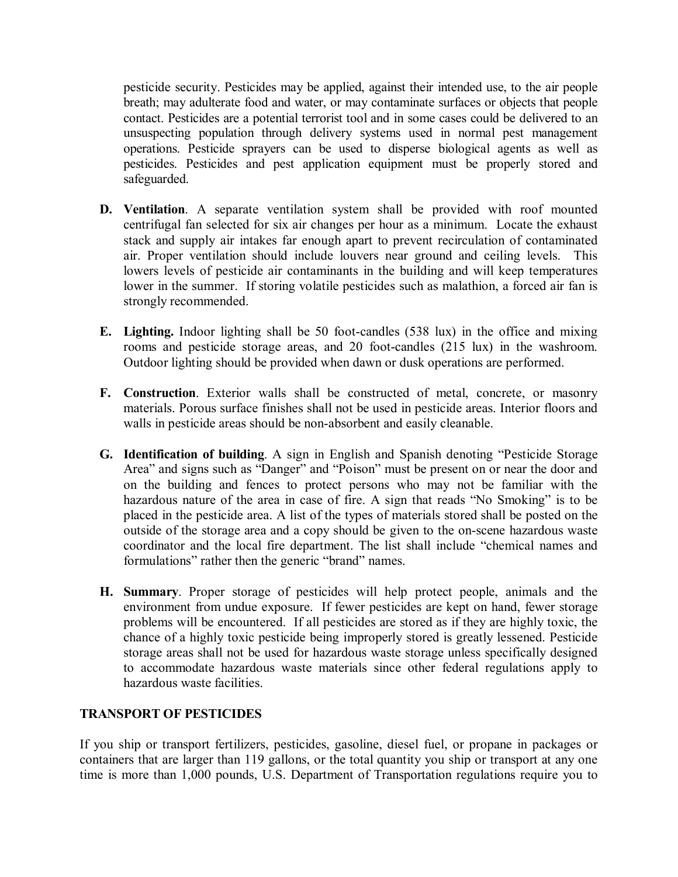pesticide security. Pesticides may be applied, against their intended use, to the air people breath; may adulterate food and water, or may contaminate surfaces or objects that people contact. Pesticides are a potential terrorist tool and in some cases could be delivered to an unsuspecting population through delivery systems used in normal pest management operations. Pesticide sprayers can be used to disperse biological agents as well as pesticides. Pesticides and pest application equipment must be properly stored and safeguarded.

- **D. Ventilation**. A separate ventilation system shall be provided with roof mounted centrifugal fan selected for six air changes per hour as a minimum. Locate the exhaust stack and supply air intakes far enough apart to prevent recirculation of contaminated air. Proper ventilation should include louvers near ground and ceiling levels. This lowers levels of pesticide air contaminants in the building and will keep temperatures lower in the summer. If storing volatile pesticides such as malathion, a forced air fan is strongly recommended.
- **E.** Lighting. Indoor lighting shall be 50 foot-candles (538 lux) in the office and mixing rooms and pesticide storage areas, and 20 foot-candles (215 lux) in the washroom. Outdoor lighting should be provided when dawn or dusk operations are performed.
- **F. Construction**. Exterior walls shall be constructed of metal, concrete, or masonry materials. Porous surface finishes shall not be used in pesticide areas. Interior floors and walls in pesticide areas should be non-absorbent and easily cleanable.
- **G. Identification of building**. A sign in English and Spanish denoting "Pesticide Storage Area" and signs such as "Danger" and "Poison" must be present on or near the door and on the building and fences to protect persons who may not be familiar with the hazardous nature of the area in case of fire. A sign that reads "No Smoking" is to be placed in the pesticide area. A list of the types of materials stored shall be posted on the outside of the storage area and a copy should be given to the on-scene hazardous waste coordinator and the local fire department. The list shall include "chemical names and formulations" rather then the generic "brand" names.
- **H. Summary**. Proper storage of pesticides will help protect people, animals and the environment from undue exposure. If fewer pesticides are kept on hand, fewer storage problems will be encountered. If all pesticides are stored as if they are highly toxic, the chance of a highly toxic pesticide being improperly stored is greatly lessened. Pesticide storage areas shall not be used for hazardous waste storage unless specifically designed to accommodate hazardous waste materials since other federal regulations apply to hazardous waste facilities.

### **TRANSPORT OF PESTICIDES**

If you ship or transport fertilizers, pesticides, gasoline, diesel fuel, or propane in packages or containers that are larger than 119 gallons, or the total quantity you ship or transport at any one time is more than 1,000 pounds, U.S. Department of Transportation regulations require you to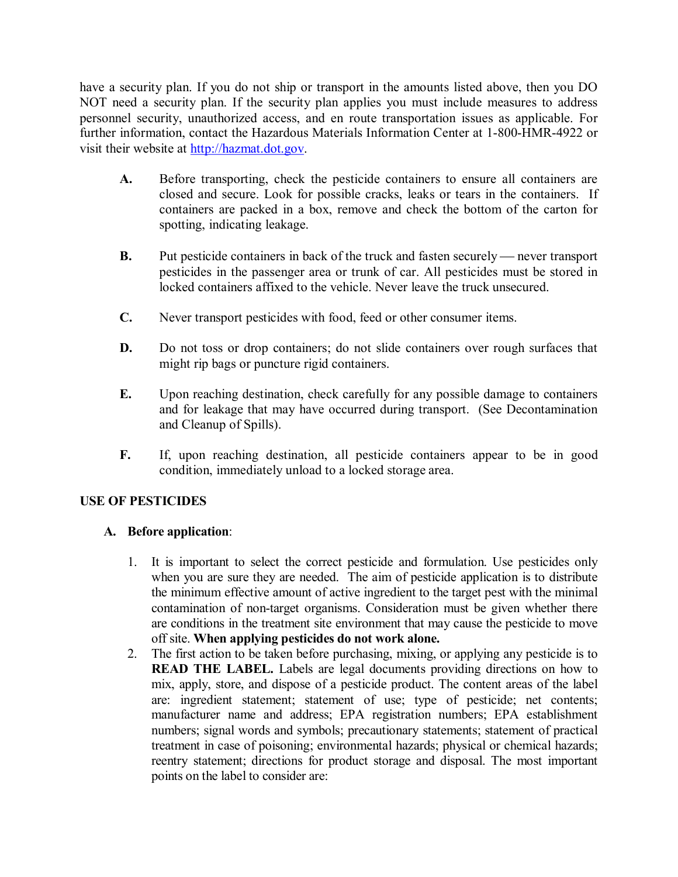have a security plan. If you do not ship or transport in the amounts listed above, then you DO NOT need a security plan. If the security plan applies you must include measures to address personnel security, unauthorized access, and en route transportation issues as applicable. For further information, contact the Hazardous Materials Information Center at 1-800-HMR-4922 or visit their website at [http://hazmat.dot.gov.](http://hazmat.dot.gov/)

- **A.** Before transporting, check the pesticide containers to ensure all containers are closed and secure. Look for possible cracks, leaks or tears in the containers. If containers are packed in a box, remove and check the bottom of the carton for spotting, indicating leakage.
- **B.** Put pesticide containers in back of the truck and fasten securely never transport pesticides in the passenger area or trunk of car. All pesticides must be stored in locked containers affixed to the vehicle. Never leave the truck unsecured.
- **C.** Never transport pesticides with food, feed or other consumer items.
- **D.** Do not toss or drop containers; do not slide containers over rough surfaces that might rip bags or puncture rigid containers.
- **E.** Upon reaching destination, check carefully for any possible damage to containers and for leakage that may have occurred during transport. (See Decontamination and Cleanup of Spills).
- **F.** If, upon reaching destination, all pesticide containers appear to be in good condition, immediately unload to a locked storage area.

### **USE OF PESTICIDES**

### **A. Before application**:

- 1. It is important to select the correct pesticide and formulation. Use pesticides only when you are sure they are needed. The aim of pesticide application is to distribute the minimum effective amount of active ingredient to the target pest with the minimal contamination of non-target organisms. Consideration must be given whether there are conditions in the treatment site environment that may cause the pesticide to move off site. **When applying pesticides do not work alone.**
- 2. The first action to be taken before purchasing, mixing, or applying any pesticide is to **READ THE LABEL.** Labels are legal documents providing directions on how to mix, apply, store, and dispose of a pesticide product. The content areas of the label are: ingredient statement; statement of use; type of pesticide; net contents; manufacturer name and address; EPA registration numbers; EPA establishment numbers; signal words and symbols; precautionary statements; statement of practical treatment in case of poisoning; environmental hazards; physical or chemical hazards; reentry statement; directions for product storage and disposal. The most important points on the label to consider are: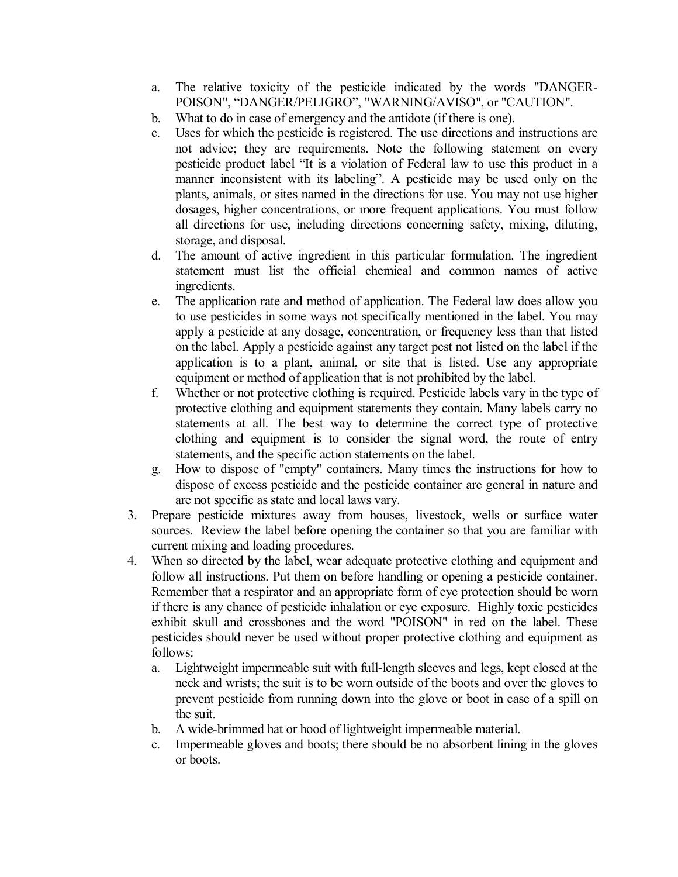- a. The relative toxicity of the pesticide indicated by the words "DANGER POISON", "DANGER/PELIGRO", "WARNING/AVISO", or "CAUTION".
- b. What to do in case of emergency and the antidote (if there is one).
- c. Uses for which the pesticide is registered. The use directions and instructions are not advice; they are requirements. Note the following statement on every pesticide product label "It is a violation of Federal law to use this product in a manner inconsistent with its labeling". A pesticide may be used only on the plants, animals, or sites named in the directions for use. You may not use higher dosages, higher concentrations, or more frequent applications. You must follow all directions for use, including directions concerning safety, mixing, diluting, storage, and disposal.
- d. The amount of active ingredient in this particular formulation. The ingredient statement must list the official chemical and common names of active ingredients.
- e. The application rate and method of application. The Federal law does allow you to use pesticides in some ways not specifically mentioned in the label. You may apply a pesticide at any dosage, concentration, or frequency less than that listed on the label. Apply a pesticide against any target pest not listed on the label if the application is to a plant, animal, or site that is listed. Use any appropriate equipment or method of application that is not prohibited by the label.
- f. Whether or not protective clothing is required. Pesticide labels vary in the type of protective clothing and equipment statements they contain. Many labels carry no statements at all. The best way to determine the correct type of protective clothing and equipment is to consider the signal word, the route of entry statements, and the specific action statements on the label.
- g. How to dispose of "empty" containers. Many times the instructions for how to dispose of excess pesticide and the pesticide container are general in nature and are not specific as state and local laws vary.
- 3. Prepare pesticide mixtures away from houses, livestock, wells or surface water sources. Review the label before opening the container so that you are familiar with current mixing and loading procedures.
- 4. When so directed by the label, wear adequate protective clothing and equipment and follow all instructions. Put them on before handling or opening a pesticide container. Remember that a respirator and an appropriate form of eye protection should be worn if there is any chance of pesticide inhalation or eye exposure. Highly toxic pesticides exhibit skull and crossbones and the word "POISON" in red on the label. These pesticides should never be used without proper protective clothing and equipment as follows:
	- a. Lightweight impermeable suit with full-length sleeves and legs, kept closed at the neck and wrists; the suit is to be worn outside of the boots and over the gloves to prevent pesticide from running down into the glove or boot in case of a spill on the suit.
	- b. A wide-brimmed hat or hood of lightweight impermeable material.
	- c. Impermeable gloves and boots; there should be no absorbent lining in the gloves or boots.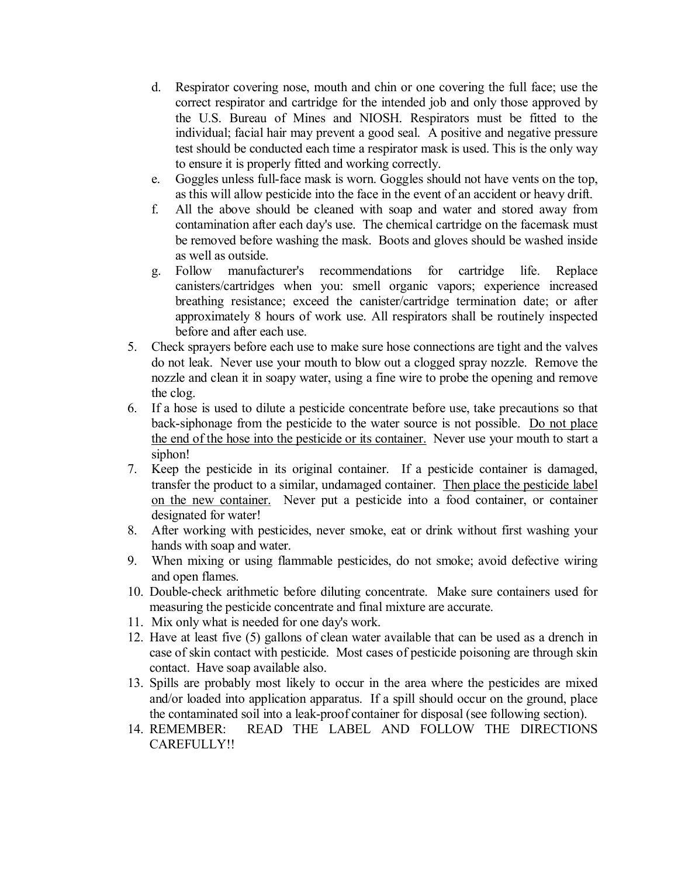- d. Respirator covering nose, mouth and chin or one covering the full face; use the correct respirator and cartridge for the intended job and only those approved by the U.S. Bureau of Mines and NIOSH. Respirators must be fitted to the individual; facial hair may prevent a good seal. A positive and negative pressure test should be conducted each time a respirator mask is used. This is the only way to ensure it is properly fitted and working correctly.
- e. Goggles unless full-face mask is worn. Goggles should not have vents on the top, as this will allow pesticide into the face in the event of an accident or heavy drift.
- f. All the above should be cleaned with soap and water and stored away from contamination after each day's use. The chemical cartridge on the facemask must be removed before washing the mask. Boots and gloves should be washed inside as well as outside.
- g. Follow manufacturer's recommendations for cartridge life. Replace canisters/cartridges when you: smell organic vapors; experience increased breathing resistance; exceed the canister/cartridge termination date; or after approximately 8 hours of work use. All respirators shall be routinely inspected before and after each use.
- 5. Check sprayers before each use to make sure hose connections are tight and the valves do not leak. Never use your mouth to blow out a clogged spray nozzle. Remove the nozzle and clean it in soapy water, using a fine wire to probe the opening and remove the clog.
- 6. If a hose is used to dilute a pesticide concentrate before use, take precautions so that back-siphonage from the pesticide to the water source is not possible. Do not place the end of the hose into the pesticide or its container. Never use your mouth to start a siphon!
- 7. Keep the pesticide in its original container. If a pesticide container is damaged, transfer the product to a similar, undamaged container. Then place the pesticide label on the new container. Never put a pesticide into a food container, or container designated for water!
- 8. After working with pesticides, never smoke, eat or drink without first washing your hands with soap and water.
- 9. When mixing or using flammable pesticides, do not smoke; avoid defective wiring and open flames.
- 10. Double-check arithmetic before diluting concentrate. Make sure containers used for measuring the pesticide concentrate and final mixture are accurate.
- 11. Mix only what is needed for one day's work.
- 12. Have at least five (5) gallons of clean water available that can be used as a drench in case of skin contact with pesticide. Most cases of pesticide poisoning are through skin contact. Have soap available also.
- 13. Spills are probably most likely to occur in the area where the pesticides are mixed and/or loaded into application apparatus. If a spill should occur on the ground, place the contaminated soil into a leak-proof container for disposal (see following section).
- 14. REMEMBER: READ THE LABEL AND FOLLOW THE DIRECTIONS CAREFULLY!!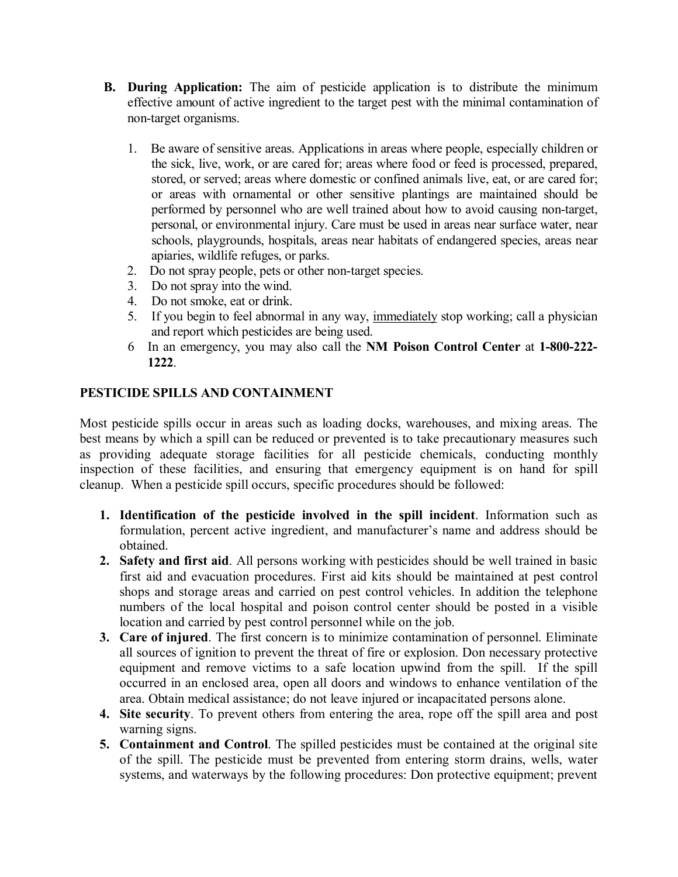- **B. During Application:** The aim of pesticide application is to distribute the minimum effective amount of active ingredient to the target pest with the minimal contamination of non-target organisms.
	- 1. Be aware of sensitive areas. Applications in areas where people, especially children or the sick, live, work, or are cared for; areas where food or feed is processed, prepared, stored, or served; areas where domestic or confined animals live, eat, or are cared for; or areas with ornamental or other sensitive plantings are maintained should be performed by personnel who are well trained about how to avoid causing non-target, personal, or environmental injury. Care must be used in areas near surface water, near schools, playgrounds, hospitals, areas near habitats of endangered species, areas near apiaries, wildlife refuges, or parks.
	- 2. Do not spray people, pets or other non-target species.
	- 3. Do not spray into the wind.
	- 4. Do not smoke, eat or drink.
	- 5. If you begin to feel abnormal in any way, immediately stop working; call a physician and report which pesticides are being used.
	- 6 In an emergency, you may also call the **NM Poison Control Center** at **1800222 1222**.

## **PESTICIDE SPILLS AND CONTAINMENT**

Most pesticide spills occur in areas such as loading docks, warehouses, and mixing areas. The best means by which a spill can be reduced or prevented is to take precautionary measures such as providing adequate storage facilities for all pesticide chemicals, conducting monthly inspection of these facilities, and ensuring that emergency equipment is on hand for spill cleanup. When a pesticide spill occurs, specific procedures should be followed:

- **1. Identification of the pesticide involved in the spill incident**. Information such as formulation, percent active ingredient, and manufacturer's name and address should be obtained.
- **2. Safety and first aid**. All persons working with pesticides should be well trained in basic first aid and evacuation procedures. First aid kits should be maintained at pest control shops and storage areas and carried on pest control vehicles. In addition the telephone numbers of the local hospital and poison control center should be posted in a visible location and carried by pest control personnel while on the job.
- **3. Care of injured**. The first concern is to minimize contamination of personnel. Eliminate all sources of ignition to prevent the threat of fire or explosion. Don necessary protective equipment and remove victims to a safe location upwind from the spill. If the spill occurred in an enclosed area, open all doors and windows to enhance ventilation of the area. Obtain medical assistance; do not leave injured or incapacitated persons alone.
- **4. Site security**. To prevent others from entering the area, rope off the spill area and post warning signs.
- **5. Containment and Control**. The spilled pesticides must be contained at the original site of the spill. The pesticide must be prevented from entering storm drains, wells, water systems, and waterways by the following procedures: Don protective equipment; prevent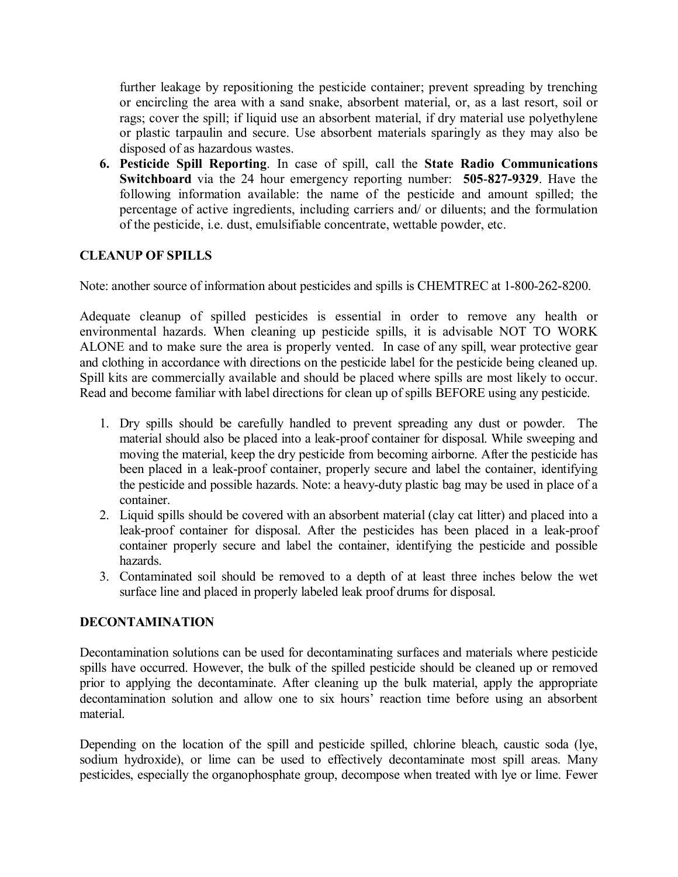further leakage by repositioning the pesticide container; prevent spreading by trenching or encircling the area with a sand snake, absorbent material, or, as a last resort, soil or rags; cover the spill; if liquid use an absorbent material, if dry material use polyethylene or plastic tarpaulin and secure. Use absorbent materials sparingly as they may also be disposed of as hazardous wastes.

**6. Pesticide Spill Reporting**. In case of spill, call the **State Radio Communications Switchboard** via the 24 hour emergency reporting number: **505-827-9329**. Have the following information available: the name of the pesticide and amount spilled; the percentage of active ingredients, including carriers and/ or diluents; and the formulation of the pesticide, i.e. dust, emulsifiable concentrate, wettable powder, etc.

### **CLEANUP OF SPILLS**

Note: another source of information about pesticides and spills is CHEMTREC at 1-800-262-8200.

Adequate cleanup of spilled pesticides is essential in order to remove any health or environmental hazards. When cleaning up pesticide spills, it is advisable NOT TO WORK ALONE and to make sure the area is properly vented. In case of any spill, wear protective gear and clothing in accordance with directions on the pesticide label for the pesticide being cleaned up. Spill kits are commercially available and should be placed where spills are most likely to occur. Read and become familiar with label directions for clean up of spills BEFORE using any pesticide.

- 1. Dry spills should be carefully handled to prevent spreading any dust or powder. The material should also be placed into a leak-proof container for disposal. While sweeping and moving the material, keep the dry pesticide from becoming airborne. After the pesticide has been placed in a leak-proof container, properly secure and label the container, identifying the pesticide and possible hazards. Note: a heavy-duty plastic bag may be used in place of a container.
- 2. Liquid spills should be covered with an absorbent material (clay cat litter) and placed into a leak-proof container for disposal. After the pesticides has been placed in a leak-proof container properly secure and label the container, identifying the pesticide and possible hazards.
- 3. Contaminated soil should be removed to a depth of at least three inches below the wet surface line and placed in properly labeled leak proof drums for disposal.

### **DECONTAMINATION**

Decontamination solutions can be used for decontaminating surfaces and materials where pesticide spills have occurred. However, the bulk of the spilled pesticide should be cleaned up or removed prior to applying the decontaminate. After cleaning up the bulk material, apply the appropriate decontamination solution and allow one to six hours' reaction time before using an absorbent material.

Depending on the location of the spill and pesticide spilled, chlorine bleach, caustic soda (lye, sodium hydroxide), or lime can be used to effectively decontaminate most spill areas. Many pesticides, especially the organophosphate group, decompose when treated with lye or lime. Fewer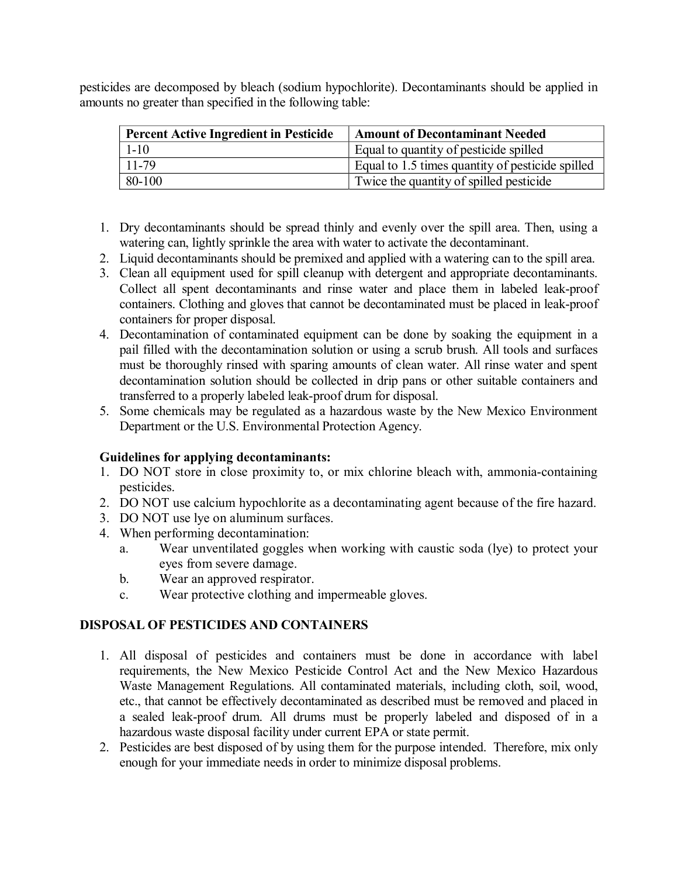pesticides are decomposed by bleach (sodium hypochlorite). Decontaminants should be applied in amounts no greater than specified in the following table:

| <b>Percent Active Ingredient in Pesticide</b> | <b>Amount of Decontaminant Needed</b>            |  |  |
|-----------------------------------------------|--------------------------------------------------|--|--|
| $1 - 10$                                      | Equal to quantity of pesticide spilled           |  |  |
| $11 - 79$                                     | Equal to 1.5 times quantity of pesticide spilled |  |  |
| 80-100                                        | Twice the quantity of spilled pesticide          |  |  |

- 1. Dry decontaminants should be spread thinly and evenly over the spill area. Then, using a watering can, lightly sprinkle the area with water to activate the decontaminant.
- 2. Liquid decontaminants should be premixed and applied with a watering can to the spill area.
- 3. Clean all equipment used for spill cleanup with detergent and appropriate decontaminants. Collect all spent decontaminants and rinse water and place them in labeled leak-proof containers. Clothing and gloves that cannot be decontaminated must be placed in leak-proof containers for proper disposal.
- 4. Decontamination of contaminated equipment can be done by soaking the equipment in a pail filled with the decontamination solution or using a scrub brush. All tools and surfaces must be thoroughly rinsed with sparing amounts of clean water. All rinse water and spent decontamination solution should be collected in drip pans or other suitable containers and transferred to a properly labeled leak-proof drum for disposal.
- 5. Some chemicals may be regulated as a hazardous waste by the New Mexico Environment Department or the U.S. Environmental Protection Agency.

### **Guidelines for applying decontaminants:**

- 1. DO NOT store in close proximity to, or mix chlorine bleach with, ammonia-containing pesticides.
- 2. DO NOT use calcium hypochlorite as a decontaminating agent because of the fire hazard.
- 3. DO NOT use lye on aluminum surfaces.
- 4. When performing decontamination:
	- a. Wear unventilated goggles when working with caustic soda (lye) to protect your eyes from severe damage.
	- b. Wear an approved respirator.
	- c. Wear protective clothing and impermeable gloves.

### **DISPOSAL OF PESTICIDES AND CONTAINERS**

- 1. All disposal of pesticides and containers must be done in accordance with label requirements, the New Mexico Pesticide Control Act and the New Mexico Hazardous Waste Management Regulations. All contaminated materials, including cloth, soil, wood, etc., that cannot be effectively decontaminated as described must be removed and placed in a sealed leak-proof drum. All drums must be properly labeled and disposed of in a hazardous waste disposal facility under current EPA or state permit.
- 2. Pesticides are best disposed of by using them for the purpose intended. Therefore, mix only enough for your immediate needs in order to minimize disposal problems.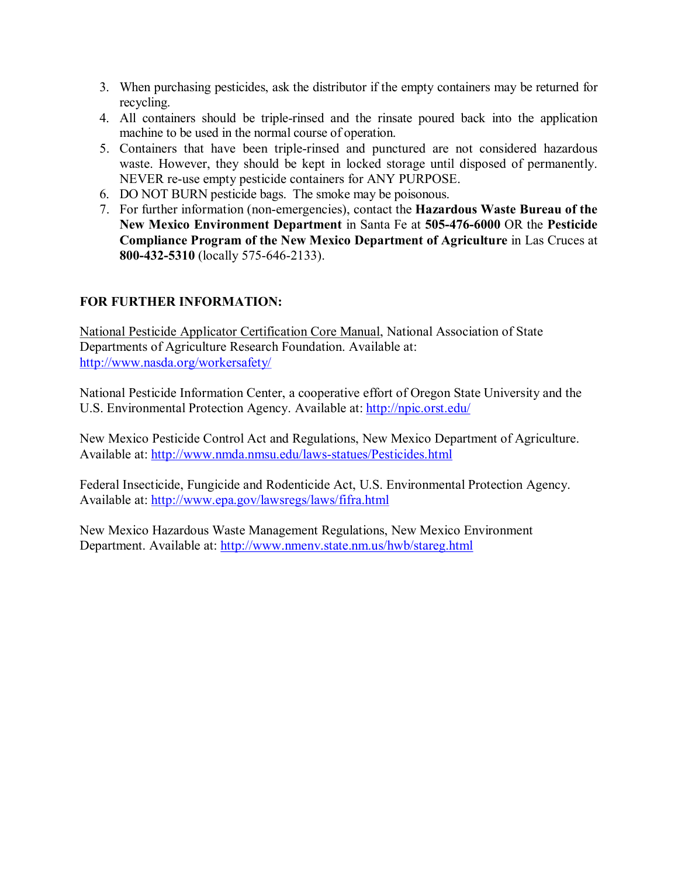- 3. When purchasing pesticides, ask the distributor if the empty containers may be returned for recycling.
- 4. All containers should be triplerinsed and the rinsate poured back into the application machine to be used in the normal course of operation.
- 5. Containers that have been triple-rinsed and punctured are not considered hazardous waste. However, they should be kept in locked storage until disposed of permanently. NEVER re-use empty pesticide containers for ANY PURPOSE.
- 6. DO NOT BURN pesticide bags. The smoke may be poisonous.
- 7. For further information (nonemergencies), contact the **Hazardous Waste Bureau of the New Mexico Environment Department** in Santa Fe at 505-476-6000 OR the Pesticide **Compliance Program of the New Mexico Department of Agriculture** in Las Cruces at 800-432-5310 (locally 575-646-2133).

### **FOR FURTHER INFORMATION:**

National Pesticide Applicator Certification Core Manual, National Association of State Departments of Agriculture Research Foundation. Available at: <http://www.nasda.org/workersafety/>

National Pesticide Information Center, a cooperative effort of Oregon State University and the U.S. Environmental Protection Agency. Available at: <http://npic.orst.edu/>

New Mexico Pesticide Control Act and Regulations, New Mexico Department of Agriculture. Available at: http://www.nmda.nmsu.edu/laws-statues/Pesticides.html

Federal Insecticide, Fungicide and Rodenticide Act, U.S. Environmental Protection Agency. Available at: <http://www.epa.gov/lawsregs/laws/fifra.html>

New Mexico Hazardous Waste Management Regulations, New Mexico Environment Department. Available at: <http://www.nmenv.state.nm.us/hwb/stareg.html>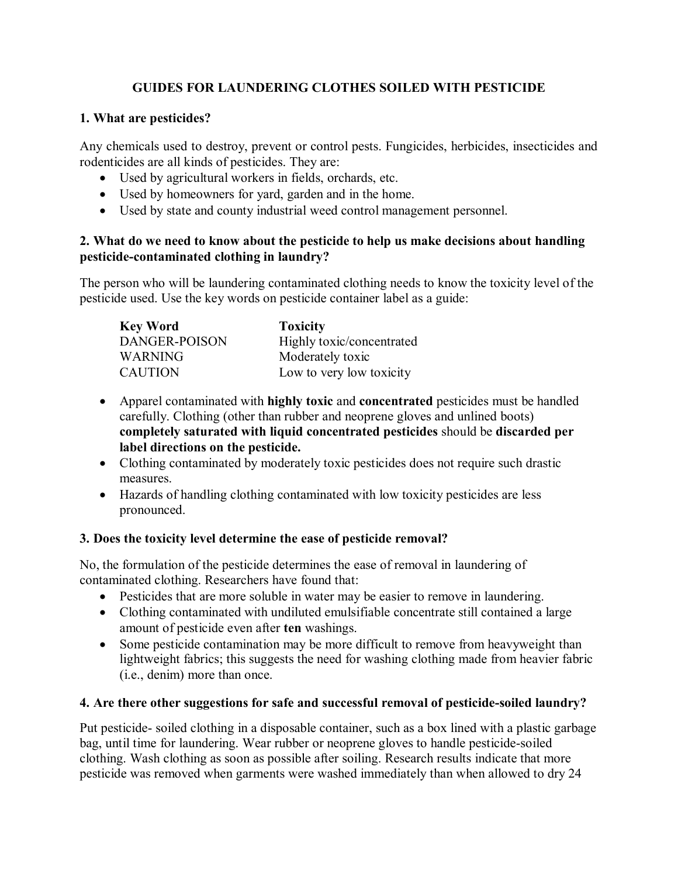# **GUIDES FOR LAUNDERING CLOTHES SOILED WITH PESTICIDE**

### **1. What are pesticides?**

Any chemicals used to destroy, prevent or control pests. Fungicides, herbicides, insecticides and rodenticides are all kinds of pesticides. They are:

- · Used by agricultural workers in fields, orchards, etc.
- Used by homeowners for yard, garden and in the home.
- · Used by state and county industrial weed control management personnel.

### **2. What do we need to know about the pesticide to help us make decisions about handling pesticide-contaminated clothing in laundry?**

The person who will be laundering contaminated clothing needs to know the toxicity level of the pesticide used. Use the key words on pesticide container label as a guide:

| <b>Key Word</b> | <b>Toxicity</b>           |
|-----------------|---------------------------|
| DANGER-POISON   | Highly toxic/concentrated |
| <b>WARNING</b>  | Moderately toxic          |
| <b>CAUTION</b>  | Low to very low toxicity  |

- · Apparel contaminated with **highly toxic** and **concentrated** pesticides must be handled carefully. Clothing (other than rubber and neoprene gloves and unlined boots) **completely saturated with liquid concentrated pesticides** should be **discarded per label directions on the pesticide.**
- Clothing contaminated by moderately toxic pesticides does not require such drastic measures.
- · Hazards of handling clothing contaminated with low toxicity pesticides are less pronounced.

## **3. Does the toxicity level determine the ease of pesticide removal?**

No, the formulation of the pesticide determines the ease of removal in laundering of contaminated clothing. Researchers have found that:

- · Pesticides that are more soluble in water may be easier to remove in laundering.
- Clothing contaminated with undiluted emulsifiable concentrate still contained a large amount of pesticide even after **ten** washings.
- Some pesticide contamination may be more difficult to remove from heavyweight than lightweight fabrics; this suggests the need for washing clothing made from heavier fabric (i.e., denim) more than once.

## **4. Are there other suggestions for safe and successful removal of pesticidesoiled laundry?**

Put pesticide- soiled clothing in a disposable container, such as a box lined with a plastic garbage bag, until time for laundering. Wear rubber or neoprene gloves to handle pesticide-soiled clothing. Wash clothing as soon as possible after soiling. Research results indicate that more pesticide was removed when garments were washed immediately than when allowed to dry 24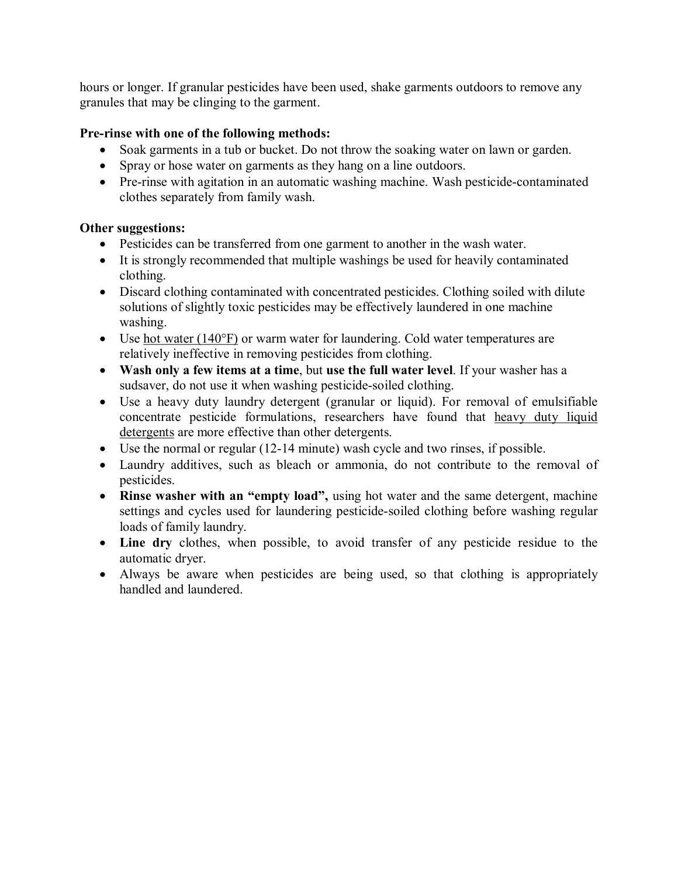hours or longer. If granular pesticides have been used, shake garments outdoors to remove any granules that may be clinging to the garment.

### **Pre-rinse with one of the following methods:**

- Soak garments in a tub or bucket. Do not throw the soaking water on lawn or garden.
- Spray or hose water on garments as they hang on a line outdoors.
- Pre-rinse with agitation in an automatic washing machine. Wash pesticide-contaminated clothes separately from family wash.

### **Other suggestions:**

- · Pesticides can be transferred from one garment to another in the wash water.
- · It is strongly recommended that multiple washings be used for heavily contaminated clothing.
- Discard clothing contaminated with concentrated pesticides. Clothing soiled with dilute solutions of slightly toxic pesticides may be effectively laundered in one machine washing.
- Use hot water (140°F) or warm water for laundering. Cold water temperatures are relatively ineffective in removing pesticides from clothing.
- · **Wash only a few items at a time**, but **use the full water level**. If your washer has a sudsaver, do not use it when washing pesticide-soiled clothing.
- Use a heavy duty laundry detergent (granular or liquid). For removal of emulsifiable concentrate pesticide formulations, researchers have found that heavy duty liquid detergents are more effective than other detergents.
- Use the normal or regular (12-14 minute) wash cycle and two rinses, if possible.
- Laundry additives, such as bleach or ammonia, do not contribute to the removal of pesticides.
- · **Rinse washer with an "empty load",** using hot water and the same detergent, machine settings and cycles used for laundering pesticide-soiled clothing before washing regular loads of family laundry.
- Line dry clothes, when possible, to avoid transfer of any pesticide residue to the automatic dryer.
- Always be aware when pesticides are being used, so that clothing is appropriately handled and laundered.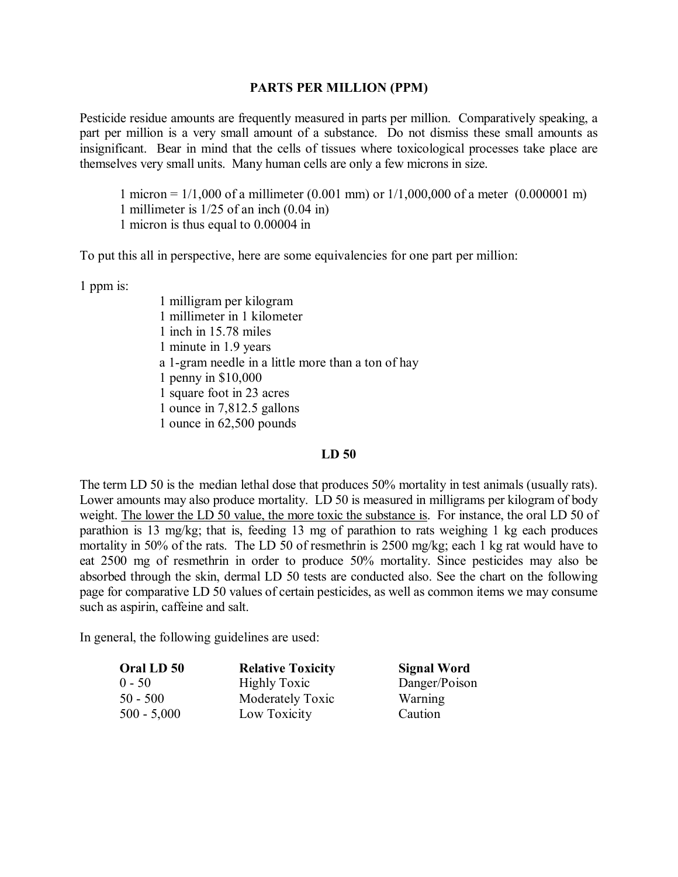### **PARTS PER MILLION (PPM)**

Pesticide residue amounts are frequently measured in parts per million. Comparatively speaking, a part per million is a very small amount of a substance. Do not dismiss these small amounts as insignificant. Bear in mind that the cells of tissues where toxicological processes take place are themselves very small units. Many human cells are only a few microns in size.

1 micron = 1/1,000 of a millimeter (0.001 mm) or 1/1,000,000 of a meter (0.000001 m) 1 millimeter is 1/25 of an inch (0.04 in) 1 micron is thus equal to 0.00004 in

To put this all in perspective, here are some equivalencies for one part per million:

1 ppm is:

1 milligram per kilogram 1 millimeter in 1 kilometer 1 inch in 15.78 miles 1 minute in 1.9 years a 1-gram needle in a little more than a ton of hay 1 penny in \$10,000 1 square foot in 23 acres 1 ounce in 7,812.5 gallons 1 ounce in 62,500 pounds

### **LD 50**

The term LD 50 is the median lethal dose that produces 50% mortality in test animals (usually rats). Lower amounts may also produce mortality. LD 50 is measured in milligrams per kilogram of body weight. The lower the LD 50 value, the more toxic the substance is. For instance, the oral LD 50 of parathion is 13 mg/kg; that is, feeding 13 mg of parathion to rats weighing 1 kg each produces mortality in 50% of the rats. The LD 50 of resmethrin is 2500 mg/kg; each 1 kg rat would have to eat 2500 mg of resmethrin in order to produce 50% mortality. Since pesticides may also be absorbed through the skin, dermal LD 50 tests are conducted also. See the chart on the following page for comparative LD 50 values of certain pesticides, as well as common items we may consume such as aspirin, caffeine and salt.

In general, the following guidelines are used:

| Oral LD 50    | <b>Relative Toxicity</b> | <b>Signal Word</b> |
|---------------|--------------------------|--------------------|
| 0 - 50        | <b>Highly Toxic</b>      | Danger/Poison      |
| 50 - 500      | Moderately Toxic         | Warning            |
| $500 - 5,000$ | Low Toxicity             | Caution            |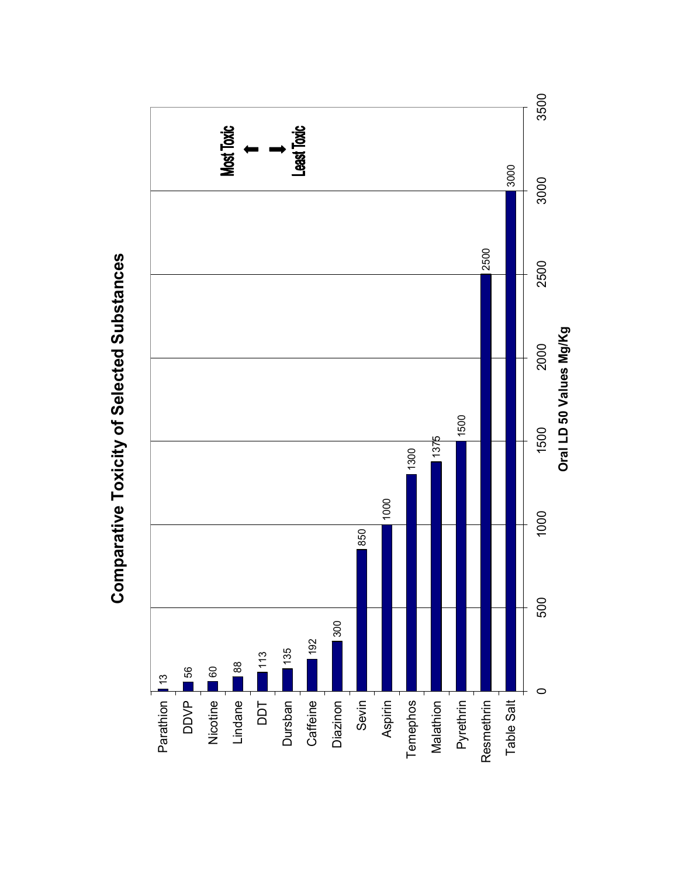

# Comparative Toxicity of Selected Substances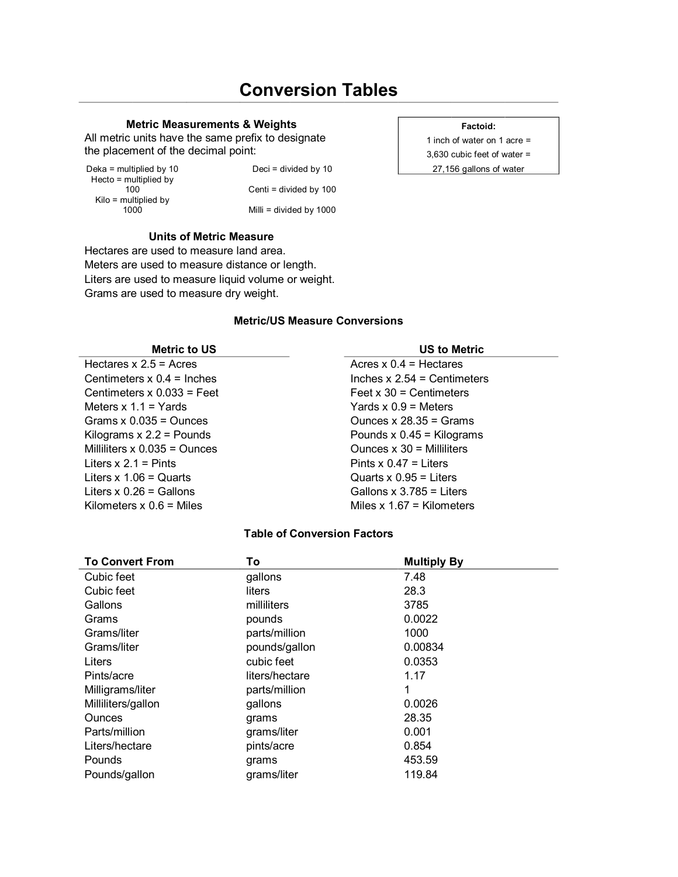# **Conversion Tables**

### **Metric Measurements & Weights Factoid:** Factoid:

All metric units have the same prefix to designate  $\vert$  a inch of water on 1 acre = the placement of the decimal point:  $3,630$  cubic feet of water =

Hecto = multiplied by<br> $100$  $Kilo =$  multiplied by  $1000$ 

Deka = multiplied by 10 Deci = divided by 10 27,156 gallons of water  $Centi = divided by 100$ Milli = divided by 1000

### **Units of Metric Measure**

Hectares are used to measure land area. Meters are used to measure distance or length. Liters are used to measure liquid volume or weight. Grams are used to measure dry weight.

### **Metric/US Measure Conversions**

| <b>Metric to US</b>            | <b>US to Metric</b>           |
|--------------------------------|-------------------------------|
| Hectares $x 2.5$ = Acres       | Acres $x 0.4$ = Hectares      |
| Centimeters $x$ 0.4 = Inches   | Inches $x 2.54 =$ Centimeters |
| Centimeters $x$ 0.033 = Feet   | Feet $x$ 30 = Centimeters     |
| Meters $x 1.1 = Yards$         | Yards $x 0.9$ = Meters        |
| Grams $x$ 0.035 = Ounces       | Ounces $x$ 28.35 = Grams      |
| Kilograms $x 2.2$ = Pounds     | Pounds $x$ 0.45 = Kilograms   |
| Milliliters $x$ 0.035 = Ounces | Ounces $x 30 =$ Milliliters   |
| Liters $x 2.1$ = Pints         | Pints $x 0.47$ = Liters       |
| Liters $x 1.06 =$ Quarts       | Quarts $x 0.95$ = Liters      |
| Liters $x 0.26$ = Gallons      | Gallons $x$ 3.785 = Liters    |
| Kilometers $x$ 0.6 = Miles     | Miles $x 1.67$ = Kilometers   |

### **Table of Conversion Factors**

| <b>To Convert From</b> | To             | <b>Multiply By</b> |
|------------------------|----------------|--------------------|
| Cubic feet             | gallons        | 7.48               |
| Cubic feet             | liters         | 28.3               |
| Gallons                | milliliters    | 3785               |
| Grams                  | pounds         | 0.0022             |
| Grams/liter            | parts/million  | 1000               |
| Grams/liter            | pounds/gallon  | 0.00834            |
| Liters                 | cubic feet     | 0.0353             |
| Pints/acre             | liters/hectare | 1.17               |
| Milligrams/liter       | parts/million  | 1                  |
| Milliliters/gallon     | gallons        | 0.0026             |
| <b>Ounces</b>          | grams          | 28.35              |
| Parts/million          | grams/liter    | 0.001              |
| Liters/hectare         | pints/acre     | 0.854              |
| Pounds                 | grams          | 453.59             |
| Pounds/gallon          | grams/liter    | 119.84             |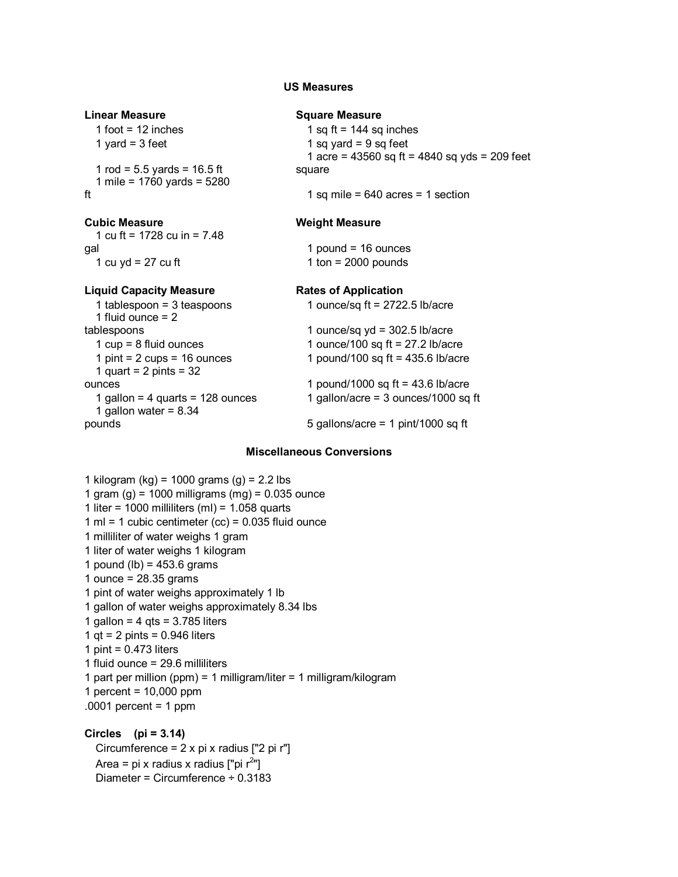### **US Measures**

# **Linear Measure Square Measure**

1 rod =  $5.5$  yards =  $16.5$  ft 1 mile = 1760 yards = 5280

1 cu ft= 1728 cu in = 7.48 gal 1 pound = 16 ounces  $1 \text{ cu } yd = 27 \text{ cu } ft$  1 ton = 2000 pounds

### **Liquid Capacity Measure Rates** of Application

1 fluid ounce  $= 2$  $1$  quart =  $2$  pints =  $32$ <br>ounces 1 gallon water =  $8.34$ 

 $1$  foot = 12 inches  $1$  sq ft = 144 sq inches

 $1$  yard = 3 feet 1 sq yard = 9 sq feet

1 acre =  $43560$  sq ft =  $4840$  sq yds = 209 feet

square

ft 1 sq mile = 640 acres = 1 section

### **Cubic Measure Weight Measure**

1 tablespoon = 3 teaspoons 1 ounce/sq ft= 2722.5 lb/acre tablespoons 1 ounce/sq yd = 302.5 lb/acre 1 cup = 8 fluid ounces 1 ounce/100 sq ft= 27.2 lb/acre 1 pint =  $2 \text{ cups} = 16 \text{ ounces}$  1 pound/100 sq ft = 435.6 lb/acre 1 pound/1000 sq  $ft = 43.6$  lb/acre 1 gallon = 4 quarts = 128 ounces  $1$  gallon/acre = 3 ounces/1000 sq ft pounds 5 gallons/acre = 1 pint/1000 sq ft

### **Miscellaneous Conversions**

1 kilogram (kg) = 1000 grams (g) =  $2.2$  lbs 1 gram  $(q)$  = 1000 milligrams  $(mq)$  = 0.035 ounce 1 liter = 1000 milliliters (ml) =  $1.058$  quarts 1 ml = 1 cubic centimeter  $(cc)$  = 0.035 fluid ounce 1 milliliter of water weighs 1 gram 1 liter of water weighs 1 kilogram 1 pound (lb) =  $453.6$  grams 1 ounce = 28.35 grams 1 pint of water weighs approximately 1 lb 1 gallon of water weighs approximately 8.34 lbs 1 gallon =  $4$  qts =  $3.785$  liters 1 qt =  $2$  pints = 0.946 liters 1 pint =  $0.473$  liters 1 fluid ounce = 29.6 milliliters 1 part per million (ppm) = 1 milligram/liter = 1 milligram/kilogram 1 percent =  $10,000$  ppm  $.0001$  percent = 1 ppm

### **Circles (pi = 3.14)**

Circumference = 2 x pi x radius ["2 pi r"] Area = pi x radius x radius  $\lceil \text{p}_i \rceil^2 \rceil$ Diameter = Circumference ÷ 0.3183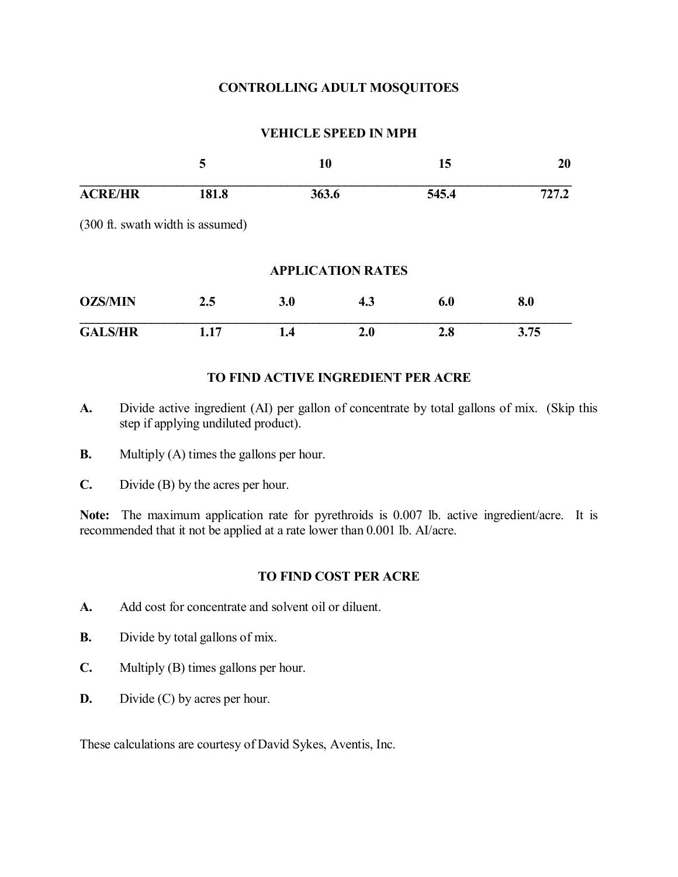### **CONTROLLING ADULT MOSQUITOES**

### **VEHICLE SPEED IN MPH**

|                                  | 5     | 10<br>363.6 |                          | 15    | 20<br>727.2 |
|----------------------------------|-------|-------------|--------------------------|-------|-------------|
| <b>ACRE/HR</b>                   | 181.8 |             |                          | 545.4 |             |
| (300 ft. swath width is assumed) |       |             |                          |       |             |
|                                  |       |             | <b>APPLICATION RATES</b> |       |             |
| <b>OZS/MIN</b>                   | 2.5   | 3.0         | 4.3                      | 6.0   | 8.0         |
| <b>GALS/HR</b>                   | 1.17  | 1.4         | 2.0                      | 2.8   | 3.75        |

### **TO FIND ACTIVE INGREDIENT PER ACRE**

- **A.** Divide active ingredient (AI) per gallon of concentrate by total gallons of mix. (Skip this step if applying undiluted product).
- **B.** Multiply (A) times the gallons per hour.
- **C.** Divide (B) by the acres per hour.

**Note:** The maximum application rate for pyrethroids is 0.007 lb. active ingredient/acre. It is recommended that it not be applied at a rate lower than 0.001 lb. AI/acre.

### **TO FIND COST PER ACRE**

- **A.** Add cost for concentrate and solvent oil or diluent.
- **B.** Divide by total gallons of mix.
- **C.** Multiply (B) times gallons per hour.
- **D.** Divide (C) by acres per hour.

These calculations are courtesy of David Sykes, Aventis, Inc.